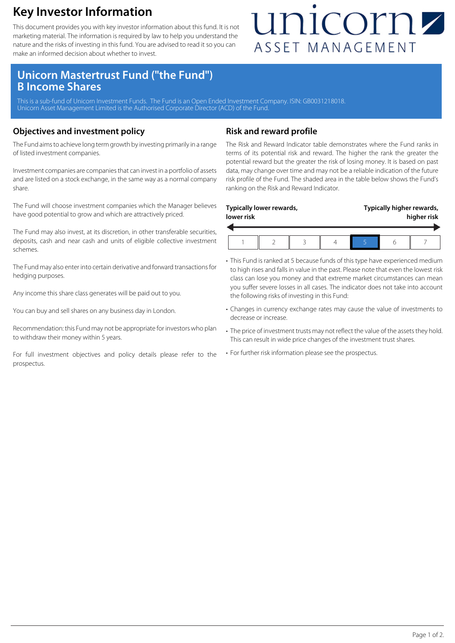### **Key Investor Information**

This document provides you with key investor information about this fund. It is not marketing material. The information is required by law to help you understand the nature and the risks of investing in this fund. You are advised to read it so you can make an informed decision about whether to invest.

## unicornz ASSET MANAGEMENT

### **Unicorn Mastertrust Fund ("the Fund") B Income Shares**

This is a sub-fund of Unicorn Investment Funds. The Fund is an Open Ended Investment Company. ISIN: GB0031218018. Unicorn Asset Management Limited is the Authorised Corporate Director (ACD) of the Fund.

#### **Objectives and investment policy**

The Fund aims to achieve long term growth by investing primarily in a range of listed investment companies.

Investment companies are companies that can invest in a portfolio of assets and are listed on a stock exchange, in the same way as a normal company share.

The Fund will choose investment companies which the Manager believes have good potential to grow and which are attractively priced.

The Fund may also invest, at its discretion, in other transferable securities, deposits, cash and near cash and units of eligible collective investment schemes.

The Fund may also enter into certain derivative and forward transactions for hedging purposes.

Any income this share class generates will be paid out to you.

You can buy and sell shares on any business day in London.

Recommendation: this Fund may not be appropriate for investors who plan to withdraw their money within 5 years.

For full investment objectives and policy details please refer to the prospectus.

#### **Risk and reward profile**

The Risk and Reward Indicator table demonstrates where the Fund ranks in terms of its potential risk and reward. The higher the rank the greater the potential reward but the greater the risk of losing money. It is based on past data, may change over time and may not be a reliable indication of the future risk profile of the Fund. The shaded area in the table below shows the Fund's ranking on the Risk and Reward Indicator.

| lower risk | Typically lower rewards, |  | Typically higher rewards,<br>higher risk |  |  |
|------------|--------------------------|--|------------------------------------------|--|--|
|            |                          |  |                                          |  |  |

- This Fund is ranked at 5 because funds of this type have experienced medium to high rises and falls in value in the past. Please note that even the lowest risk class can lose you money and that extreme market circumstances can mean you suffer severe losses in all cases. The indicator does not take into account the following risks of investing in this Fund:
- Changes in currency exchange rates may cause the value of investments to decrease or increase.
- The price of investment trusts may not reflect the value of the assets they hold. This can result in wide price changes of the investment trust shares.
- For further risk information please see the prospectus.